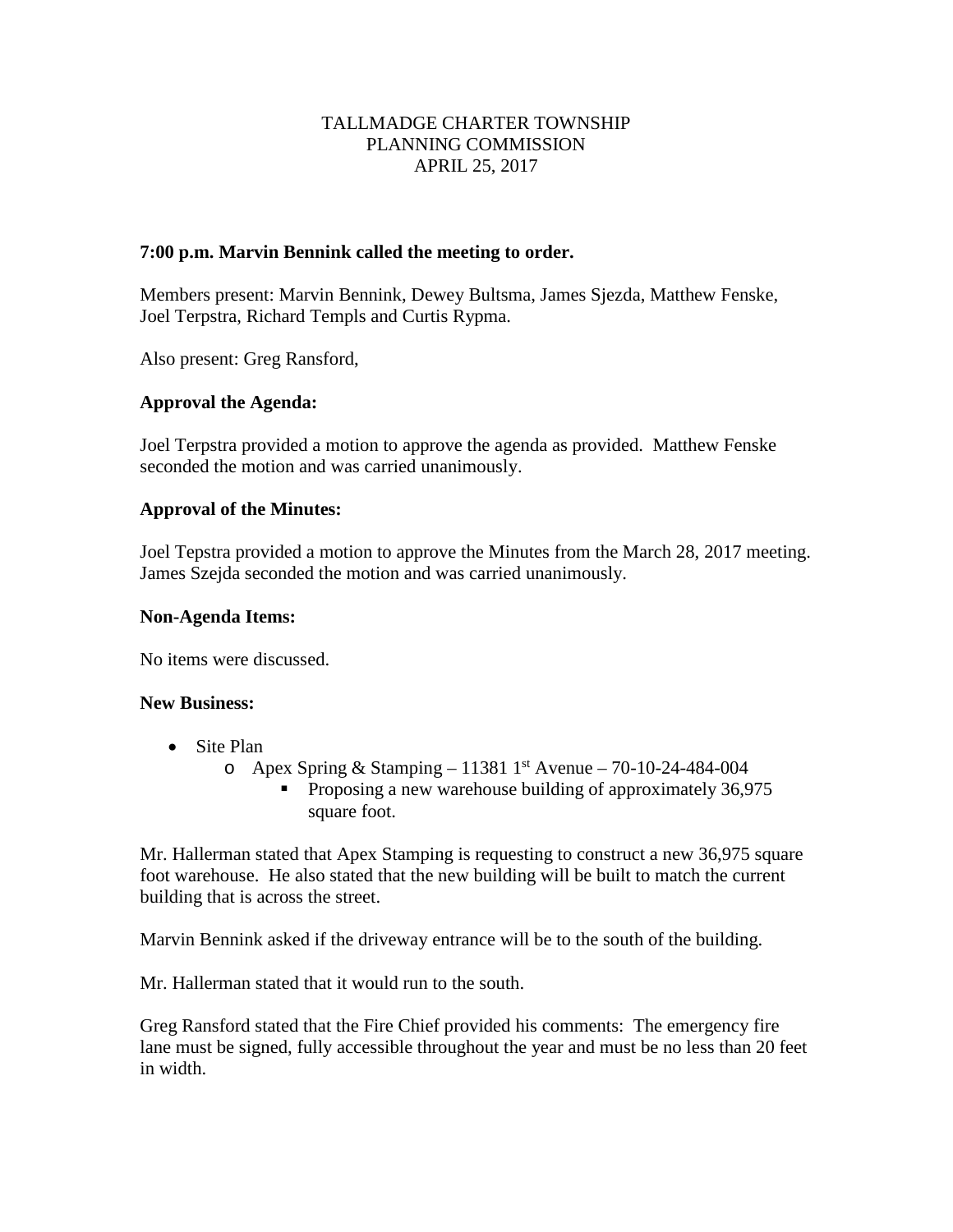## TALLMADGE CHARTER TOWNSHIP PLANNING COMMISSION APRIL 25, 2017

## **7:00 p.m. Marvin Bennink called the meeting to order.**

Members present: Marvin Bennink, Dewey Bultsma, James Sjezda, Matthew Fenske, Joel Terpstra, Richard Templs and Curtis Rypma.

Also present: Greg Ransford,

# **Approval the Agenda:**

Joel Terpstra provided a motion to approve the agenda as provided. Matthew Fenske seconded the motion and was carried unanimously.

# **Approval of the Minutes:**

Joel Tepstra provided a motion to approve the Minutes from the March 28, 2017 meeting. James Szejda seconded the motion and was carried unanimously.

## **Non-Agenda Items:**

No items were discussed.

## **New Business:**

- Site Plan
	- o Apex Spring & Stamping 11381 1st Avenue 70-10-24-484-004
		- **Proposing a new warehouse building of approximately 36,975** square foot.

Mr. Hallerman stated that Apex Stamping is requesting to construct a new 36,975 square foot warehouse. He also stated that the new building will be built to match the current building that is across the street.

Marvin Bennink asked if the driveway entrance will be to the south of the building.

Mr. Hallerman stated that it would run to the south.

Greg Ransford stated that the Fire Chief provided his comments: The emergency fire lane must be signed, fully accessible throughout the year and must be no less than 20 feet in width.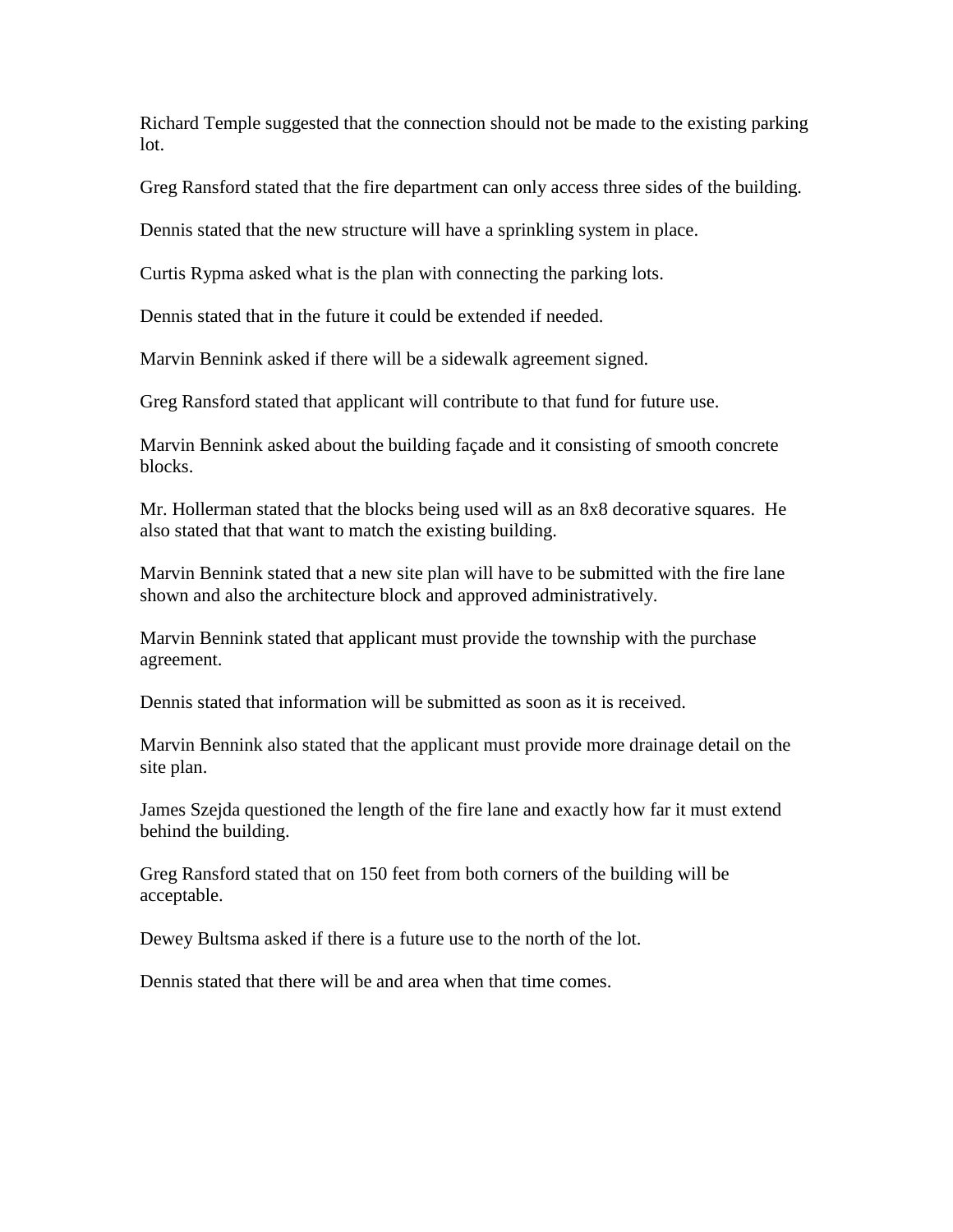Richard Temple suggested that the connection should not be made to the existing parking lot.

Greg Ransford stated that the fire department can only access three sides of the building.

Dennis stated that the new structure will have a sprinkling system in place.

Curtis Rypma asked what is the plan with connecting the parking lots.

Dennis stated that in the future it could be extended if needed.

Marvin Bennink asked if there will be a sidewalk agreement signed.

Greg Ransford stated that applicant will contribute to that fund for future use.

Marvin Bennink asked about the building façade and it consisting of smooth concrete blocks.

Mr. Hollerman stated that the blocks being used will as an 8x8 decorative squares. He also stated that that want to match the existing building.

Marvin Bennink stated that a new site plan will have to be submitted with the fire lane shown and also the architecture block and approved administratively.

Marvin Bennink stated that applicant must provide the township with the purchase agreement.

Dennis stated that information will be submitted as soon as it is received.

Marvin Bennink also stated that the applicant must provide more drainage detail on the site plan.

James Szejda questioned the length of the fire lane and exactly how far it must extend behind the building.

Greg Ransford stated that on 150 feet from both corners of the building will be acceptable.

Dewey Bultsma asked if there is a future use to the north of the lot.

Dennis stated that there will be and area when that time comes.